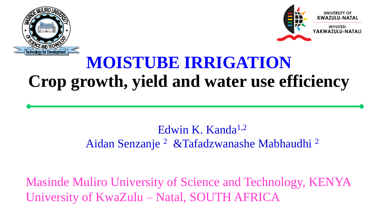



## **MOISTUBE IRRIGATION Crop growth, yield and water use efficiency**

#### Edwin K. Kanda<sup>1,2</sup> Aidan Senzanje <sup>2</sup> &Tafadzwanashe Mabhaudhi <sup>2</sup>

Masinde Muliro University of Science and Technology, KENYA University of KwaZulu – Natal, SOUTH AFRICA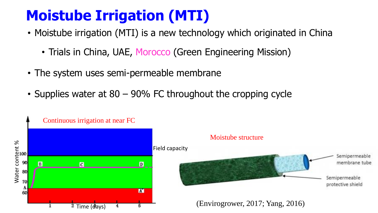## **Moistube Irrigation (MTI)**

- Moistube irrigation (MTI) is a new technology which originated in China
	- Trials in China, UAE, Morocco (Green Engineering Mission)
- The system uses semi-permeable membrane
- Supplies water at 80 90% FC throughout the cropping cycle

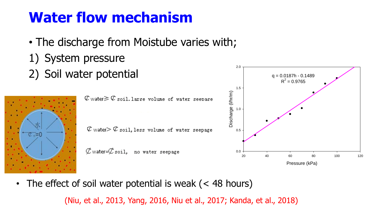### **Water flow mechanism**

- The discharge from Moistube varies with;
- 1) System pressure
- 2) Soil water potential q = 0.0187h 0.1489





2.0

• The effect of soil water potential is weak (< 48 hours)

(Niu, et al., 2013, Yang, 2016, Niu et al., 2017; Kanda, et al., 2018)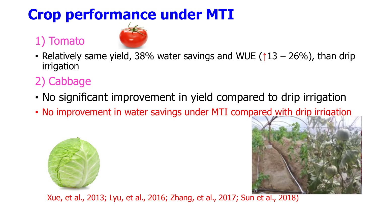#### 1) Tomato



• Relatively same yield, 38% water savings and WUE ( $\uparrow$ 13 – 26%), than drip irrigation

### 2) Cabbage

- No significant improvement in yield compared to drip irrigation
- No improvement in water savings under MTI compared with drip irrigation





Xue, et al., 2013; Lyu, et al., 2016; Zhang, et al., 2017; Sun et al., 2018)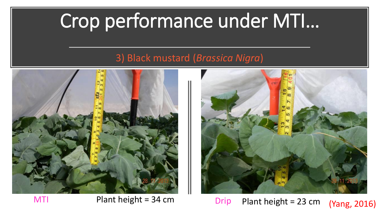#### 3) Black mustard (*Brassica Nigra*)





MTI Plant height = 34 cm Drip Plant height = 23 cm (Yang, 2016)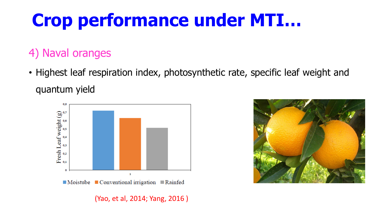### 4) Naval oranges

• Highest leaf respiration index, photosynthetic rate, specific leaf weight and quantum yield



(Yao, et al, 2014; Yang, 2016 )

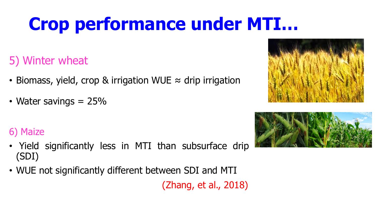5) Winter wheat

- Biomass, yield, crop & irrigation WUE  $\approx$  drip irrigation
- Water savings  $= 25\%$

#### 6) Maize

- Yield significantly less in MTI than subsurface drip (SDI)
- WUE not significantly different between SDI and MTI

(Zhang, et al., 2018)



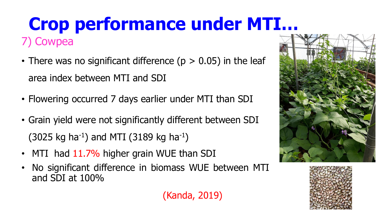## **Crop performance under MTI…** 7) Cowpea

- There was no significant difference ( $p > 0.05$ ) in the leaf area index between MTI and SDI
- Flowering occurred 7 days earlier under MTI than SDI
- Grain yield were not significantly different between SDI  $(3025 \text{ kg ha}^{-1})$  and MTI  $(3189 \text{ kg ha}^{-1})$
- MTI had 11.7% higher grain WUE than SDI
- No significant difference in biomass WUE between MTI and SDI at 100%





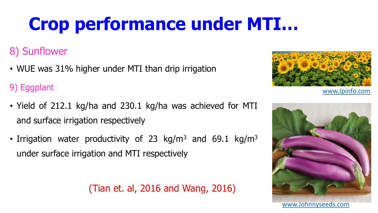#### 8) Sunflower

• WUE was 31% higher under MTI than drip irrigation

9) Eggplant

- Yield of 212.1 kg/ha and 230.1 kg/ha was achieved for MTI and surface irrigation respectively
- Irrigation water productivity of 23 kg/m<sup>3</sup> and 69.1 kg/m<sup>3</sup> under surface irrigation and MTI respectively

(Tian et. al, 2016 and Wang, 2016)



[www.Jpinfo.com](http://www.jpinfo.com/)

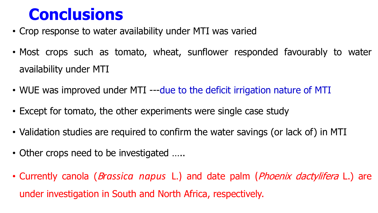## **Conclusions**

- Crop response to water availability under MTI was varied
- Most crops such as tomato, wheat, sunflower responded favourably to water availability under MTI
- WUE was improved under MTI ---due to the deficit irrigation nature of MTI
- Except for tomato, the other experiments were single case study
- Validation studies are required to confirm the water savings (or lack of) in MTI
- Other crops need to be investigated .....
- Currently canola (B*rassica napus* L.) and date palm (Phoenix dactylifera L.) are under investigation in South and North Africa, respectively.